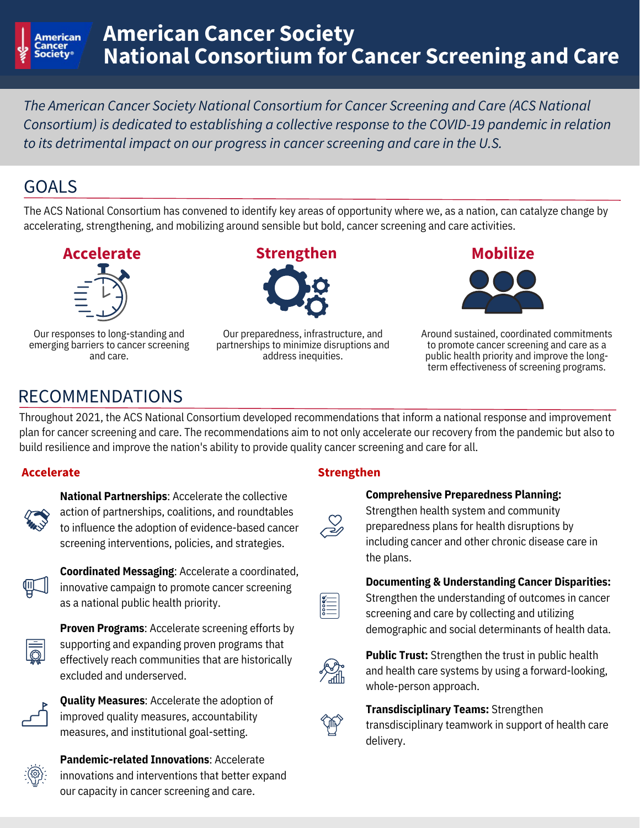

# **American Cancer Society National Consortium for Cancer Screening and Care**

*The American Cancer Society National Consortium for Cancer Screening and Care (ACS National Consortium) is dedicated to establishing a collective response to the COVID-19 pandemic in relation to its detrimental impact on our progress in cancer screening and care in the U.S.*

## GOALS

The ACS National Consortium has convened to identify key areas of opportunity where we, as a nation, can catalyze change by accelerating, strengthening, and mobilizing around sensible but bold, cancer screening and care activities.



Our responses to long-standing and emerging barriers to cancer screening and care.



Our preparedness, infrastructure, and partnerships to minimize disruptions and address inequities.





Around sustained, coordinated commitments to promote cancer screening and care as a public health priority and improve the longterm effectiveness of screening programs.

# RECOMMENDATIONS

Throughout 2021, the ACS National Consortium developed recommendations that inform a national response and improvement plan for cancer screening and care. The recommendations aim to not only accelerate our recovery from the pandemic but also to build resilience and improve the nation's ability to provide quality cancer screening and care for all.

**National Partnerships**: Accelerate the collective action of partnerships, coalitions, and roundtables to influence the adoption of evidence-based cancer screening interventions, policies, and strategies.



**Coordinated Messaging**: Accelerate a coordinated, innovative campaign to promote cancer screening as a national public health priority.



**Proven Programs**: Accelerate screening efforts by supporting and expanding proven programs that effectively reach communities that are historically excluded and underserved.



**Quality Measures**: Accelerate the adoption of improved quality measures, accountability measures, and institutional goal-setting.



**Pandemic-related Innovations**: Accelerate innovations and interventions that better expand our capacity in cancer screening and care.

### **Accelerate Strengthen**

#### **Comprehensive Preparedness Planning:**

Strengthen health system and community preparedness plans for health disruptions by including cancer and other chronic disease care in the plans.

### **Documenting & Understanding Cancer Disparities:**



Strengthen the understanding of outcomes in cancer screening and care by collecting and utilizing demographic and social determinants of health data.



**Public Trust:** Strengthen the trust in public health and health care systems by using a forward-looking, whole-person approach.

### **Transdisciplinary Teams:** Strengthen



transdisciplinary teamwork in support of health care delivery.